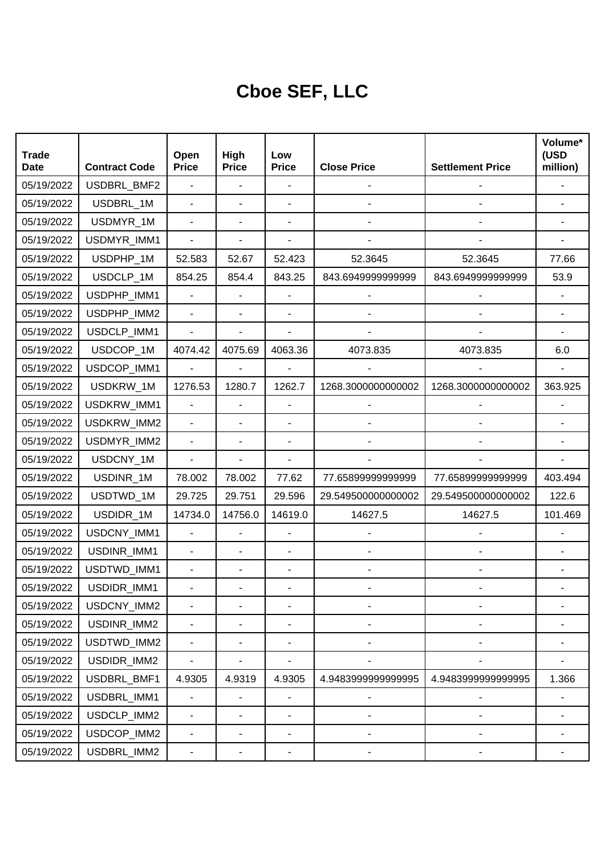## **Cboe SEF, LLC**

| <b>Trade</b><br><b>Date</b> | <b>Contract Code</b> | Open<br><b>Price</b>     | High<br><b>Price</b>     | Low<br><b>Price</b>      | <b>Close Price</b>           | <b>Settlement Price</b>      | Volume*<br>(USD<br>million) |
|-----------------------------|----------------------|--------------------------|--------------------------|--------------------------|------------------------------|------------------------------|-----------------------------|
| 05/19/2022                  | USDBRL_BMF2          | ä,                       | $\overline{\phantom{a}}$ |                          |                              |                              |                             |
| 05/19/2022                  | USDBRL_1M            | $\blacksquare$           | ä,                       |                          |                              |                              |                             |
| 05/19/2022                  | USDMYR_1M            | $\blacksquare$           | ä,                       |                          |                              |                              |                             |
| 05/19/2022                  | USDMYR_IMM1          |                          |                          |                          |                              |                              |                             |
| 05/19/2022                  | USDPHP_1M            | 52.583                   | 52.67                    | 52.423                   | 52.3645                      | 52.3645                      | 77.66                       |
| 05/19/2022                  | USDCLP_1M            | 854.25                   | 854.4                    | 843.25                   | 843.6949999999999            | 843.6949999999999            | 53.9                        |
| 05/19/2022                  | USDPHP_IMM1          | $\blacksquare$           |                          |                          |                              |                              |                             |
| 05/19/2022                  | USDPHP_IMM2          | $\overline{\phantom{a}}$ |                          |                          |                              |                              |                             |
| 05/19/2022                  | USDCLP_IMM1          | $\blacksquare$           |                          |                          |                              |                              |                             |
| 05/19/2022                  | USDCOP_1M            | 4074.42                  | 4075.69                  | 4063.36                  | 4073.835                     | 4073.835                     | 6.0                         |
| 05/19/2022                  | USDCOP_IMM1          | L.                       |                          |                          |                              |                              |                             |
| 05/19/2022                  | USDKRW_1M            | 1276.53                  | 1280.7                   | 1262.7                   | 1268.3000000000002           | 1268.3000000000002           | 363.925                     |
| 05/19/2022                  | USDKRW_IMM1          | $\blacksquare$           | ä,                       |                          |                              |                              |                             |
| 05/19/2022                  | USDKRW_IMM2          |                          | ÷,                       |                          |                              |                              |                             |
| 05/19/2022                  | USDMYR_IMM2          | $\blacksquare$           | ÷,                       | $\overline{a}$           |                              |                              |                             |
| 05/19/2022                  | USDCNY_1M            | L,                       |                          |                          |                              |                              |                             |
| 05/19/2022                  | USDINR_1M            | 78.002                   | 78.002                   | 77.62                    | 77.6589999999999             | 77.65899999999999            | 403.494                     |
| 05/19/2022                  | USDTWD_1M            | 29.725                   | 29.751                   | 29.596                   | 29.549500000000002           | 29.549500000000002           | 122.6                       |
| 05/19/2022                  | USDIDR_1M            | 14734.0                  | 14756.0                  | 14619.0                  | 14627.5                      | 14627.5                      | 101.469                     |
| 05/19/2022                  | USDCNY_IMM1          | $\blacksquare$           |                          | $\blacksquare$           |                              |                              |                             |
| 05/19/2022                  | USDINR_IMM1          | $\overline{\phantom{a}}$ | ÷,                       | ÷,                       |                              |                              |                             |
| 05/19/2022                  | USDTWD_IMM1          | $\blacksquare$           | ÷,                       | $\blacksquare$           |                              |                              |                             |
| 05/19/2022                  | USDIDR_IMM1          |                          |                          |                          |                              |                              |                             |
| 05/19/2022                  | USDCNY_IMM2          |                          |                          |                          | ٠                            |                              |                             |
| 05/19/2022                  | USDINR_IMM2          | $\overline{\phantom{0}}$ | ٠                        | $\blacksquare$           |                              |                              |                             |
| 05/19/2022                  | USDTWD_IMM2          | $\blacksquare$           | ٠                        | $\blacksquare$           | $\overline{\phantom{0}}$     | $\qquad \qquad \blacksquare$ |                             |
| 05/19/2022                  | USDIDR_IMM2          | $\blacksquare$           |                          | $\blacksquare$           |                              |                              |                             |
| 05/19/2022                  | USDBRL_BMF1          | 4.9305                   | 4.9319                   | 4.9305                   | 4.948399999999995            | 4.948399999999995            | 1.366                       |
| 05/19/2022                  | USDBRL_IMM1          |                          |                          |                          | $\qquad \qquad \blacksquare$ |                              |                             |
| 05/19/2022                  | USDCLP_IMM2          | $\blacksquare$           | $\overline{a}$           | $\overline{\phantom{a}}$ | $\overline{a}$               |                              |                             |
| 05/19/2022                  | USDCOP_IMM2          | $\blacksquare$           | ٠                        | $\blacksquare$           |                              |                              |                             |
| 05/19/2022                  | USDBRL_IMM2          | ۰                        |                          | ۰                        |                              |                              |                             |